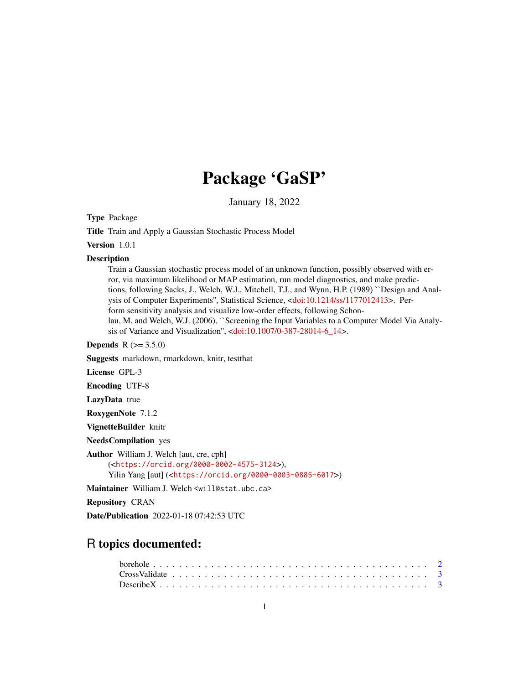# Package 'GaSP'

January 18, 2022

Type Package

Title Train and Apply a Gaussian Stochastic Process Model

Version 1.0.1

#### Description

Train a Gaussian stochastic process model of an unknown function, possibly observed with error, via maximum likelihood or MAP estimation, run model diagnostics, and make predictions, following Sacks, J., Welch, W.J., Mitchell, T.J., and Wynn, H.P. (1989) ``Design and Analysis of Computer Experiments'', Statistical Science, [<doi:10.1214/ss/1177012413>](https://doi.org/10.1214/ss/1177012413). Perform sensitivity analysis and visualize low-order effects, following Schonlau, M. and Welch, W.J. (2006), ``Screening the Input Variables to a Computer Model Via Analysis of Variance and Visualization'', [<doi:10.1007/0-387-28014-6\\_14>](https://doi.org/10.1007/0-387-28014-6_14).

**Depends** R  $(>= 3.5.0)$ 

Suggests markdown, rmarkdown, knitr, testthat

License GPL-3

Encoding UTF-8

LazyData true

RoxygenNote 7.1.2

VignetteBuilder knitr

NeedsCompilation yes

Author William J. Welch [aut, cre, cph] (<<https://orcid.org/0000-0002-4575-3124>>), Yilin Yang [aut] (<<https://orcid.org/0000-0003-0885-6017>>)

Maintainer William J. Welch <will@stat.ubc.ca>

Repository CRAN

Date/Publication 2022-01-18 07:42:53 UTC

# R topics documented: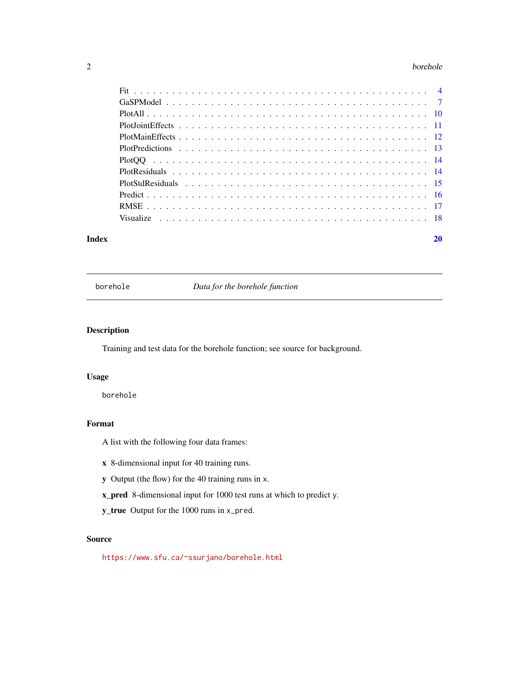#### <span id="page-1-0"></span>2 borehole

|       | Visualize experience in the contract of the contract of the contract of the contract of the set of the set of the set of the set of the set of the set of the set of the set of the set of the set of the set of the set of th |    |
|-------|--------------------------------------------------------------------------------------------------------------------------------------------------------------------------------------------------------------------------------|----|
| Index |                                                                                                                                                                                                                                | 20 |

borehole *Data for the borehole function*

# Description

Training and test data for the borehole function; see source for background.

#### Usage

borehole

# Format

A list with the following four data frames:

- x 8-dimensional input for 40 training runs.
- y Output (the flow) for the 40 training runs in x.
- x\_pred 8-dimensional input for 1000 test runs at which to predict y.
- y\_true Output for the 1000 runs in x\_pred.

#### Source

<https://www.sfu.ca/~ssurjano/borehole.html>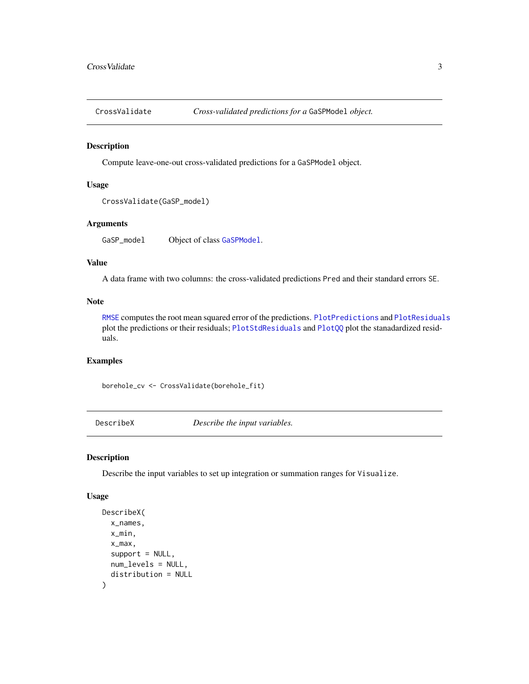<span id="page-2-1"></span><span id="page-2-0"></span>

#### Description

Compute leave-one-out cross-validated predictions for a GaSPModel object.

# Usage

```
CrossValidate(GaSP_model)
```
# Arguments

GaSP\_model Object of class [GaSPModel](#page-6-1).

#### Value

A data frame with two columns: the cross-validated predictions Pred and their standard errors SE.

#### Note

[RMSE](#page-16-1) computes the root mean squared error of the predictions. [PlotPredictions](#page-12-1) and [PlotResiduals](#page-13-1) plot the predictions or their residuals; [PlotStdResiduals](#page-14-1) and [PlotQQ](#page-13-2) plot the stanadardized residuals.

# Examples

borehole\_cv <- CrossValidate(borehole\_fit)

<span id="page-2-2"></span>DescribeX *Describe the input variables.*

#### Description

Describe the input variables to set up integration or summation ranges for Visualize.

#### Usage

```
DescribeX(
 x_names,
 x_min,
 x_max,
  support = NULL,
 num_levels = NULL,
  distribution = NULL
)
```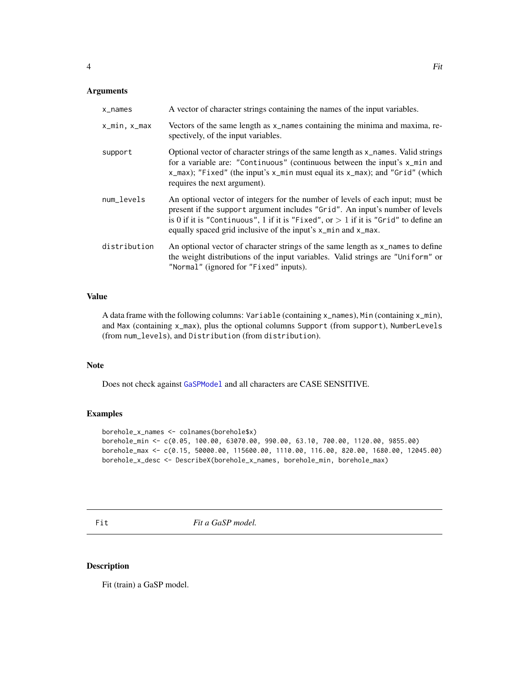#### <span id="page-3-0"></span>Arguments

| x_names      | A vector of character strings containing the names of the input variables.                                                                                                                                                                                                                                               |
|--------------|--------------------------------------------------------------------------------------------------------------------------------------------------------------------------------------------------------------------------------------------------------------------------------------------------------------------------|
| x_min.x_max  | Vectors of the same length as x_names containing the minima and maxima, re-<br>spectively, of the input variables.                                                                                                                                                                                                       |
| support      | Optional vector of character strings of the same length as x_names. Valid strings<br>for a variable are: "Continuous" (continuous between the input's x_min and<br>x_max); "Fixed" (the input's x_min must equal its x_max); and "Grid" (which<br>requires the next argument).                                           |
| num levels   | An optional vector of integers for the number of levels of each input; must be<br>present if the support argument includes "Grid". An input's number of levels<br>is 0 if it is "Continuous", 1 if it is "Fixed", or $> 1$ if it is "Grid" to define an<br>equally spaced grid inclusive of the input's x_min and x_max. |
| distribution | An optional vector of character strings of the same length as x_names to define<br>the weight distributions of the input variables. Valid strings are "Uniform" or<br>"Normal" (ignored for "Fixed" inputs).                                                                                                             |

#### Value

A data frame with the following columns: Variable (containing x\_names), Min (containing x\_min), and Max (containing x\_max), plus the optional columns Support (from support), NumberLevels (from num\_levels), and Distribution (from distribution).

# Note

Does not check against [GaSPModel](#page-6-1) and all characters are CASE SENSITIVE.

#### Examples

```
borehole_x_names <- colnames(borehole$x)
borehole_min <- c(0.05, 100.00, 63070.00, 990.00, 63.10, 700.00, 1120.00, 9855.00)
borehole_max <- c(0.15, 50000.00, 115600.00, 1110.00, 116.00, 820.00, 1680.00, 12045.00)
borehole_x_desc <- DescribeX(borehole_x_names, borehole_min, borehole_max)
```
<span id="page-3-1"></span>Fit **Fit a GaSP** model.

#### Description

Fit (train) a GaSP model.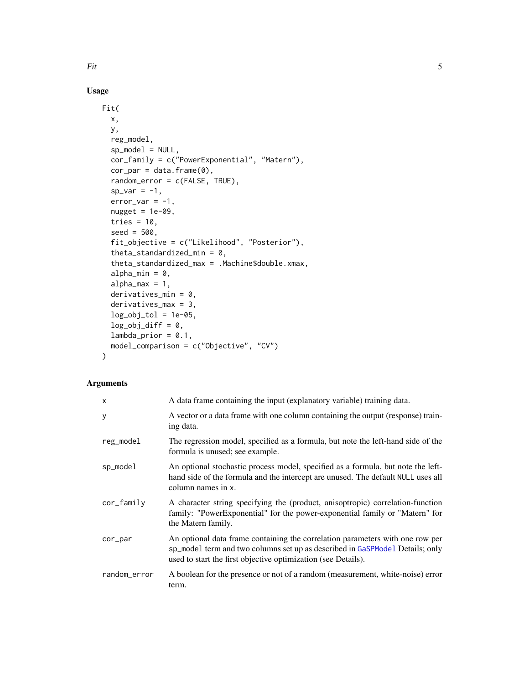# Usage

```
Fit(
  x,
  y,
  reg_model,
  sp_model = NULL,cor_family = c("PowerExponential", "Matern"),
  cor\_par = data.frame(0),
  random_error = c(FALSE, TRUE),
  sp\_var = -1,
  error\_var = -1,
  nugget = 1e-09,
  tries = 10,
  seed = 500,
  fit_objective = c("Likelihood", "Posterior"),
  theta_standardized_min = 0,
  theta_standardized_max = .Machine$double.xmax,
  alpha\_min = 0,
  alpha_max = 1,
  derivatives_min = 0,
  derivatives_max = 3,
  log\_obj\_tol = 1e-05,
  log\_obj\_diff = 0,lambda\_prior = 0.1,
  model_comparison = c("Objective", "CV")
)
```
# Arguments

| $\mathsf{x}$ | A data frame containing the input (explanatory variable) training data.                                                                                                                                                        |
|--------------|--------------------------------------------------------------------------------------------------------------------------------------------------------------------------------------------------------------------------------|
| У            | A vector or a data frame with one column containing the output (response) train-<br>ing data.                                                                                                                                  |
| reg_model    | The regression model, specified as a formula, but note the left-hand side of the<br>formula is unused; see example.                                                                                                            |
| sp_model     | An optional stochastic process model, specified as a formula, but note the left-<br>hand side of the formula and the intercept are unused. The default NULL uses all<br>column names in x.                                     |
| cor_family   | A character string specifying the (product, anisoptropic) correlation-function<br>family: "PowerExponential" for the power-exponential family or "Matern" for<br>the Matern family.                                            |
| cor_par      | An optional data frame containing the correlation parameters with one row per<br>sp_mode1 term and two columns set up as described in GaSPMode1 Details; only<br>used to start the first objective optimization (see Details). |
| random_error | A boolean for the presence or not of a random (measurement, white-noise) error<br>term.                                                                                                                                        |

<span id="page-4-0"></span>Fit 5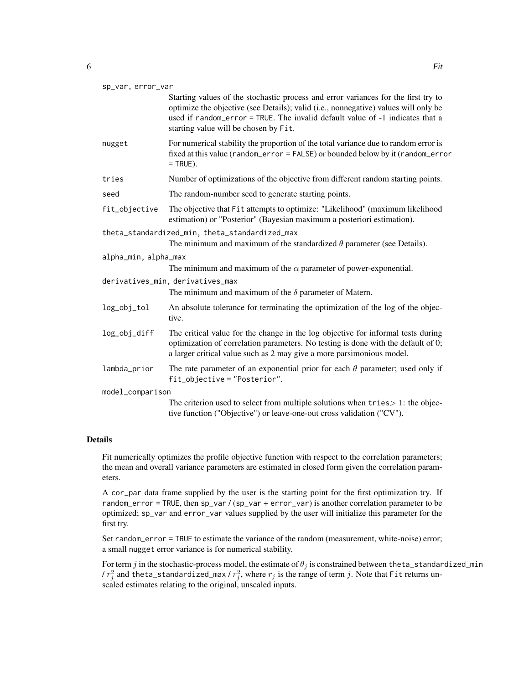| sp_var, error_var    |                                                                                                                                                                                                                                                                                                     |
|----------------------|-----------------------------------------------------------------------------------------------------------------------------------------------------------------------------------------------------------------------------------------------------------------------------------------------------|
|                      | Starting values of the stochastic process and error variances for the first try to<br>optimize the objective (see Details); valid (i.e., nonnegative) values will only be<br>used if random_error = TRUE. The invalid default value of -1 indicates that a<br>starting value will be chosen by Fit. |
| nugget               | For numerical stability the proportion of the total variance due to random error is<br>fixed at this value (random_error = FALSE) or bounded below by it (random_error<br>$=$ TRUE).                                                                                                                |
| tries                | Number of optimizations of the objective from different random starting points.                                                                                                                                                                                                                     |
| seed                 | The random-number seed to generate starting points.                                                                                                                                                                                                                                                 |
| fit_objective        | The objective that Fit attempts to optimize: "Likelihood" (maximum likelihood<br>estimation) or "Posterior" (Bayesian maximum a posteriori estimation).                                                                                                                                             |
|                      | theta_standardized_min, theta_standardized_max<br>The minimum and maximum of the standardized $\theta$ parameter (see Details).                                                                                                                                                                     |
| alpha_min, alpha_max |                                                                                                                                                                                                                                                                                                     |
|                      | The minimum and maximum of the $\alpha$ parameter of power-exponential.                                                                                                                                                                                                                             |
|                      | derivatives_min, derivatives_max<br>The minimum and maximum of the $\delta$ parameter of Matern.                                                                                                                                                                                                    |
| log_obj_tol          | An absolute tolerance for terminating the optimization of the log of the objec-<br>tive.                                                                                                                                                                                                            |
| log_obj_diff         | The critical value for the change in the log objective for informal tests during<br>optimization of correlation parameters. No testing is done with the default of 0;<br>a larger critical value such as 2 may give a more parsimonious model.                                                      |
| lambda_prior         | The rate parameter of an exponential prior for each $\theta$ parameter; used only if<br>fit_objective = "Posterior".                                                                                                                                                                                |
| model_comparison     |                                                                                                                                                                                                                                                                                                     |
|                      | The criterion used to select from multiple solutions when $tries$ 2: the objec-<br>tive function ("Objective") or leave-one-out cross validation ("CV").                                                                                                                                            |
|                      |                                                                                                                                                                                                                                                                                                     |

#### Details

Fit numerically optimizes the profile objective function with respect to the correlation parameters; the mean and overall variance parameters are estimated in closed form given the correlation parameters.

A cor\_par data frame supplied by the user is the starting point for the first optimization try. If random\_error = TRUE, then sp\_var / (sp\_var + error\_var) is another correlation parameter to be optimized; sp\_var and error\_var values supplied by the user will initialize this parameter for the first try.

Set random\_error = TRUE to estimate the variance of the random (measurement, white-noise) error; a small nugget error variance is for numerical stability.

For term  $j$  in the stochastic-process model, the estimate of  $\theta_j$  is constrained between <code>theta\_standardized\_min</code> /  $r_j^2$  and theta\_standardized\_max /  $r_j^2$ , where  $r_j$  is the range of term  $j$ . Note that Fit returns unscaled estimates relating to the original, unscaled inputs.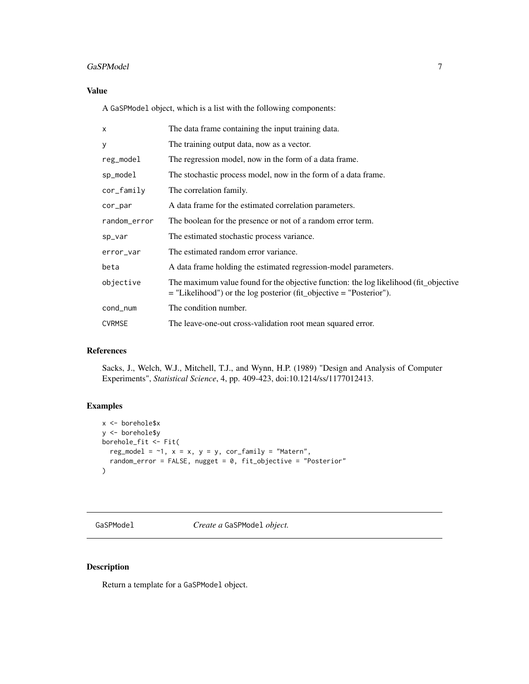# <span id="page-6-0"></span>GaSPModel 7 and 7 and 7 and 7 and 7 and 7 and 7 and 7 and 7 and 7 and 7 and 7 and 7 and 7 and 7 and 7 and 7 and 7 and 7 and 7 and 7 and 7 and 7 and 7 and 7 and 7 and 7 and 7 and 7 and 7 and 7 and 7 and 7 and 7 and 7 and 7

# Value

A GaSPModel object, which is a list with the following components:

| X             | The data frame containing the input training data.                                                                                                               |
|---------------|------------------------------------------------------------------------------------------------------------------------------------------------------------------|
| У             | The training output data, now as a vector.                                                                                                                       |
| reg_model     | The regression model, now in the form of a data frame.                                                                                                           |
| sp_model      | The stochastic process model, now in the form of a data frame.                                                                                                   |
| cor_family    | The correlation family.                                                                                                                                          |
| cor_par       | A data frame for the estimated correlation parameters.                                                                                                           |
| random_error  | The boolean for the presence or not of a random error term.                                                                                                      |
| sp_var        | The estimated stochastic process variance.                                                                                                                       |
| error_var     | The estimated random error variance.                                                                                                                             |
| beta          | A data frame holding the estimated regression-model parameters.                                                                                                  |
| objective     | The maximum value found for the objective function: the log likelihood (fit_objective<br>$=$ "Likelihood") or the log posterior (fit_objective $=$ "Posterior"). |
| cond_num      | The condition number.                                                                                                                                            |
| <b>CVRMSE</b> | The leave-one-out cross-validation root mean squared error.                                                                                                      |

#### References

Sacks, J., Welch, W.J., Mitchell, T.J., and Wynn, H.P. (1989) "Design and Analysis of Computer Experiments", *Statistical Science*, 4, pp. 409-423, doi:10.1214/ss/1177012413.

# Examples

```
x <- borehole$x
y <- borehole$y
borehole_fit <- Fit(
  reg_model = \sim1, x = x, y = y, cor_family = "Matern",
  random_error = FALSE, nugget = 0, fit_objective = "Posterior"
)
```
<span id="page-6-1"></span>GaSPModel *Create a* GaSPModel *object.*

# Description

Return a template for a GaSPModel object.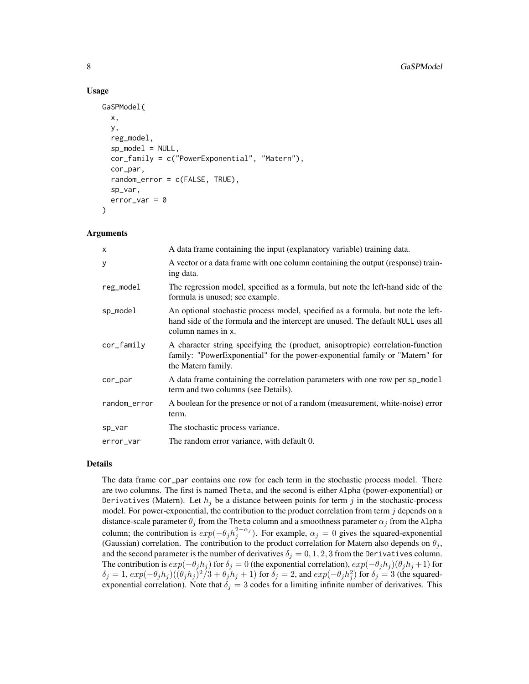#### Usage

```
GaSPModel(
  x,
  y,
  reg_model,
  sp_model = NULL,cor_family = c("PowerExponential", "Matern"),
  cor_par,
  random_error = c(FALSE, TRUE),
  sp_var,
  error\_var = 0)
```
#### Arguments

| $\mathsf{x}$ | A data frame containing the input (explanatory variable) training data.                                                                                                                    |
|--------------|--------------------------------------------------------------------------------------------------------------------------------------------------------------------------------------------|
| У            | A vector or a data frame with one column containing the output (response) train-<br>ing data.                                                                                              |
| reg_model    | The regression model, specified as a formula, but note the left-hand side of the<br>formula is unused; see example.                                                                        |
| sp_model     | An optional stochastic process model, specified as a formula, but note the left-<br>hand side of the formula and the intercept are unused. The default NULL uses all<br>column names in x. |
| cor_family   | A character string specifying the (product, anisoptropic) correlation-function<br>family: "PowerExponential" for the power-exponential family or "Matern" for<br>the Matern family.        |
| cor_par      | A data frame containing the correlation parameters with one row per sp_mode1<br>term and two columns (see Details).                                                                        |
| random_error | A boolean for the presence or not of a random (measurement, white-noise) error<br>term.                                                                                                    |
| sp_var       | The stochastic process variance.                                                                                                                                                           |
| error_var    | The random error variance, with default 0.                                                                                                                                                 |

#### Details

The data frame cor\_par contains one row for each term in the stochastic process model. There are two columns. The first is named Theta, and the second is either Alpha (power-exponential) or Derivatives (Matern). Let  $h_j$  be a distance between points for term j in the stochastic-process model. For power-exponential, the contribution to the product correlation from term  $j$  depends on a distance-scale parameter  $\theta_j$  from the Theta column and a smoothness parameter  $\alpha_j$  from the Alpha column; the contribution is  $exp(-\theta_j h_j^{2-\alpha_j})$ . For example,  $\alpha_j = 0$  gives the squared-exponential (Gaussian) correlation. The contribution to the product correlation for Matern also depends on  $\theta_i$ , and the second parameter is the number of derivatives  $\delta_j = 0, 1, 2, 3$  from the Derivatives column. The contribution is  $exp(-\theta_j h_j)$  for  $\delta_j = 0$  (the exponential correlation),  $exp(-\theta_j h_j)(\theta_j h_j + 1)$  for  $\delta_j = 1$ ,  $exp(-\theta_j h_j)((\theta_j h_j)^2/3 + \theta_j h_j + 1)$  for  $\delta_j = 2$ , and  $exp(-\theta_j h_j^2)$  for  $\delta_j = 3$  (the squaredexponential correlation). Note that  $\delta_j = 3$  codes for a limiting infinite number of derivatives. This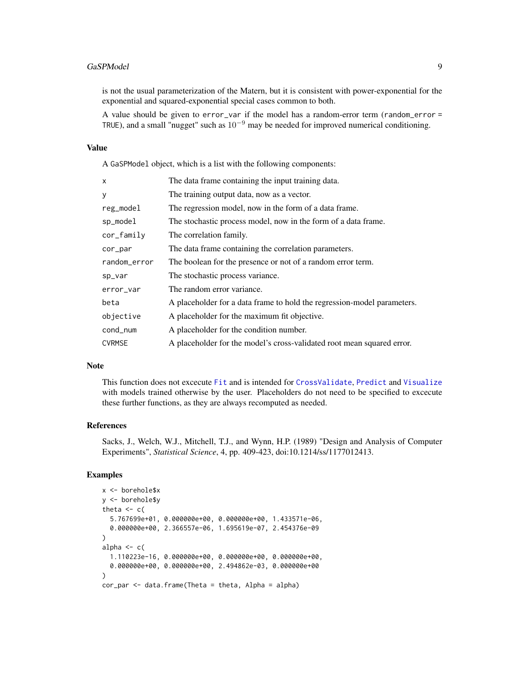#### <span id="page-8-0"></span>GaSPModel 9

is not the usual parameterization of the Matern, but it is consistent with power-exponential for the exponential and squared-exponential special cases common to both.

A value should be given to error\_var if the model has a random-error term (random\_error = TRUE), and a small "nugget" such as  $10^{-9}$  may be needed for improved numerical conditioning.

#### Value

A GaSPModel object, which is a list with the following components:

| X             | The data frame containing the input training data.                      |
|---------------|-------------------------------------------------------------------------|
| у             | The training output data, now as a vector.                              |
| reg_model     | The regression model, now in the form of a data frame.                  |
| sp_model      | The stochastic process model, now in the form of a data frame.          |
| cor_family    | The correlation family.                                                 |
| cor_par       | The data frame containing the correlation parameters.                   |
| random_error  | The boolean for the presence or not of a random error term.             |
| sp_var        | The stochastic process variance.                                        |
| error_var     | The random error variance.                                              |
| beta          | A placeholder for a data frame to hold the regression-model parameters. |
| objective     | A placeholder for the maximum fit objective.                            |
| cond_num      | A placeholder for the condition number.                                 |
| <b>CVRMSE</b> | A placeholder for the model's cross-validated root mean squared error.  |

#### Note

This function does not excecute [Fit](#page-3-1) and is intended for [CrossValidate](#page-2-1), [Predict](#page-15-1) and [Visualize](#page-17-1) with models trained otherwise by the user. Placeholders do not need to be specified to excecute these further functions, as they are always recomputed as needed.

#### References

Sacks, J., Welch, W.J., Mitchell, T.J., and Wynn, H.P. (1989) "Design and Analysis of Computer Experiments", *Statistical Science*, 4, pp. 409-423, doi:10.1214/ss/1177012413.

#### Examples

```
x <- borehole$x
y <- borehole$y
theta <-c(5.767699e+01, 0.000000e+00, 0.000000e+00, 1.433571e-06,
  0.000000e+00, 2.366557e-06, 1.695619e-07, 2.454376e-09
)
alpha \leq c(
  1.110223e-16, 0.000000e+00, 0.000000e+00, 0.000000e+00,
  0.000000e+00, 0.000000e+00, 2.494862e-03, 0.000000e+00
)
cor_par <- data.frame(Theta = theta, Alpha = alpha)
```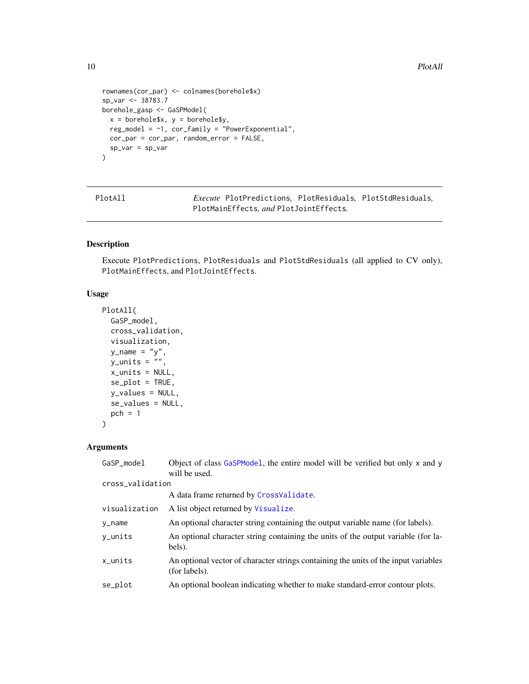```
rownames(cor_par) <- colnames(borehole$x)
sp_var <- 38783.7
borehole_gasp <- GaSPModel(
 x = \text{borehole}\$x, y = \text{borehole}\$y,
  reg_model = \sim1, cor_family = "PowerExponential",
  cor_par = cor_par, random_error = FALSE,
  sp_var = sp_var
\mathcal{L}
```
PlotAll *Execute* PlotPredictions*,* PlotResiduals*,* PlotStdResiduals*,* PlotMainEffects*, and* PlotJointEffects*.*

# Description

Execute PlotPredictions, PlotResiduals and PlotStdResiduals (all applied to CV only), PlotMainEffects, and PlotJointEffects.

# Usage

```
PlotAll(
  GaSP_model,
  cross_validation,
  visualization,
 y<sup>-</sup>name = "y",
 y_units = ",
  x_units = NULL,
  se\_plot = TRUE,y_values = NULL,
  se_values = NULL,
 pch = 1)
```
# Arguments

| GaSP_model       | Object of class GaSPModel, the entire model will be verified but only x and y<br>will be used.       |
|------------------|------------------------------------------------------------------------------------------------------|
| cross_validation |                                                                                                      |
|                  | A data frame returned by CrossValidate.                                                              |
| visualization    | A list object returned by Visualize.                                                                 |
| y_name           | An optional character string containing the output variable name (for labels).                       |
| y_units          | An optional character string containing the units of the output variable (for la-<br>bels).          |
| x units          | An optional vector of character strings containing the units of the input variables<br>(for labels). |
| se_plot          | An optional boolean indicating whether to make standard-error contour plots.                         |

<span id="page-9-0"></span>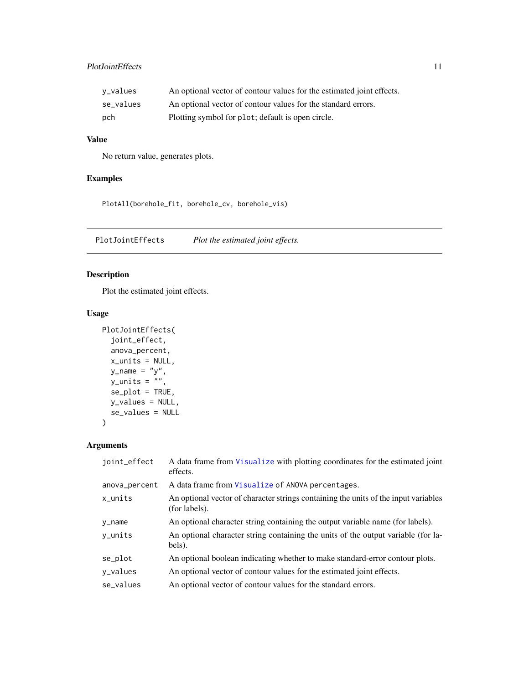# <span id="page-10-0"></span>PlotJointEffects 11

| v_values  | An optional vector of contour values for the estimated joint effects. |
|-----------|-----------------------------------------------------------------------|
| se values | An optional vector of contour values for the standard errors.         |
| pch       | Plotting symbol for plot; default is open circle.                     |

#### Value

No return value, generates plots.

# Examples

PlotAll(borehole\_fit, borehole\_cv, borehole\_vis)

PlotJointEffects *Plot the estimated joint effects.*

# Description

Plot the estimated joint effects.

# Usage

```
PlotJointEffects(
  joint_effect,
  anova_percent,
  x_units = NULL,
  y_name = "y",
  y_units = ",
  se_plot = TRUE,
  y_values = NULL,
  se_values = NULL
\overline{\phantom{a}}
```
# Arguments

| joint_effect  | A data frame from Visualize with plotting coordinates for the estimated joint<br>effects.            |
|---------------|------------------------------------------------------------------------------------------------------|
| anova_percent | A data frame from Visualize of ANOVA percentages.                                                    |
| $x_$ units    | An optional vector of character strings containing the units of the input variables<br>(for labels). |
| y_name        | An optional character string containing the output variable name (for labels).                       |
| y_units       | An optional character string containing the units of the output variable (for la-<br>bels).          |
| se_plot       | An optional boolean indicating whether to make standard-error contour plots.                         |
| y_values      | An optional vector of contour values for the estimated joint effects.                                |
| se values     | An optional vector of contour values for the standard errors.                                        |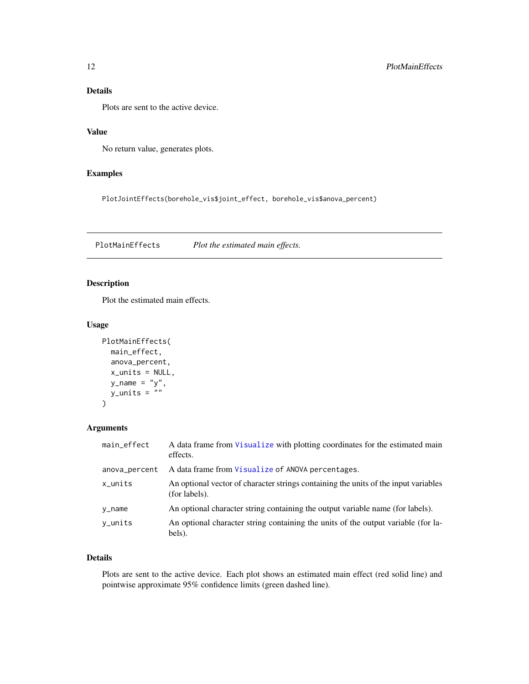# <span id="page-11-0"></span>Details

Plots are sent to the active device.

#### Value

No return value, generates plots.

# Examples

PlotJointEffects(borehole\_vis\$joint\_effect, borehole\_vis\$anova\_percent)

PlotMainEffects *Plot the estimated main effects.*

# Description

Plot the estimated main effects.

#### Usage

```
PlotMainEffects(
 main_effect,
  anova_percent,
 x_units = NULL,
  y\_name = "y",y_units = ""
)
```
#### Arguments

| main_effect   | A data frame from Visualize with plotting coordinates for the estimated main<br>effects.             |
|---------------|------------------------------------------------------------------------------------------------------|
| anova_percent | A data frame from Visualize of ANOVA percentages.                                                    |
| $x_$ units    | An optional vector of character strings containing the units of the input variables<br>(for labels). |
| y_name        | An optional character string containing the output variable name (for labels).                       |
| y_units       | An optional character string containing the units of the output variable (for la-<br>bels).          |

#### Details

Plots are sent to the active device. Each plot shows an estimated main effect (red solid line) and pointwise approximate 95% confidence limits (green dashed line).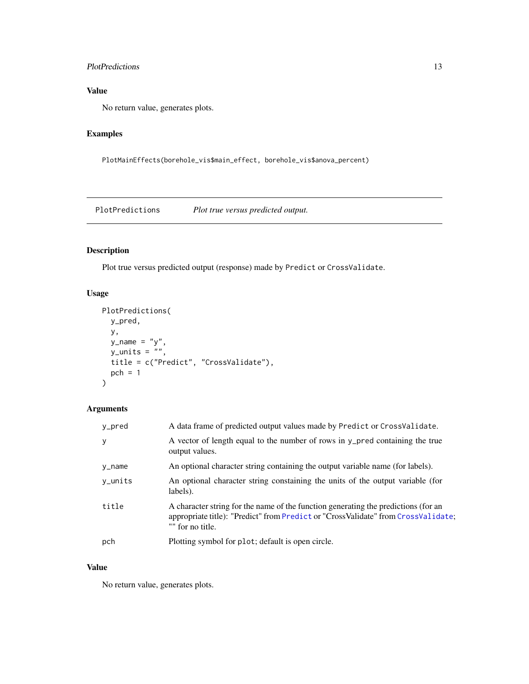# <span id="page-12-0"></span>PlotPredictions 13

# Value

No return value, generates plots.

# Examples

PlotMainEffects(borehole\_vis\$main\_effect, borehole\_vis\$anova\_percent)

<span id="page-12-1"></span>PlotPredictions *Plot true versus predicted output.*

# Description

Plot true versus predicted output (response) made by Predict or CrossValidate.

# Usage

```
PlotPredictions(
 y_pred,
 y,
 y_name = "y",
 y_units = ",
 title = c("Predict", "CrossValidate"),
 pch = 1\mathcal{L}
```
# Arguments

| y_pred  | A data frame of predicted output values made by Predict or CrossValidate.                                                                                                                   |
|---------|---------------------------------------------------------------------------------------------------------------------------------------------------------------------------------------------|
| У       | A vector of length equal to the number of rows in y_pred containing the true<br>output values.                                                                                              |
| y_name  | An optional character string containing the output variable name (for labels).                                                                                                              |
| y_units | An optional character string constaining the units of the output variable (for<br>labels).                                                                                                  |
| title   | A character string for the name of the function generating the predictions (for an<br>appropriate title): "Predict" from Predict or "CrossValidate" from CrossValidate;<br>"" for no title. |
| pch     | Plotting symbol for plot; default is open circle.                                                                                                                                           |

#### Value

No return value, generates plots.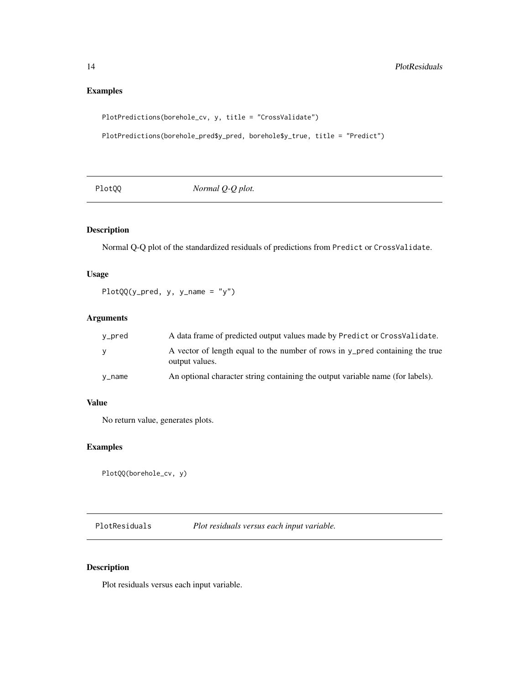# Examples

```
PlotPredictions(borehole_cv, y, title = "CrossValidate")
```

```
PlotPredictions(borehole_pred$y_pred, borehole$y_true, title = "Predict")
```
<span id="page-13-2"></span>

| PlotQQ | Normal $Q$ - $Q$ plot. |  |
|--------|------------------------|--|
|--------|------------------------|--|

# Description

Normal Q-Q plot of the standardized residuals of predictions from Predict or CrossValidate.

#### Usage

PlotQQ(y\_pred, y, y\_name = "y")

# Arguments

| v_pred   | A data frame of predicted output values made by Predict or CrossValidate.                      |
|----------|------------------------------------------------------------------------------------------------|
| <b>V</b> | A vector of length equal to the number of rows in y_pred containing the true<br>output values. |
| v_name   | An optional character string containing the output variable name (for labels).                 |

# Value

No return value, generates plots.

# Examples

```
PlotQQ(borehole_cv, y)
```
<span id="page-13-1"></span>PlotResiduals *Plot residuals versus each input variable.*

# Description

Plot residuals versus each input variable.

<span id="page-13-0"></span>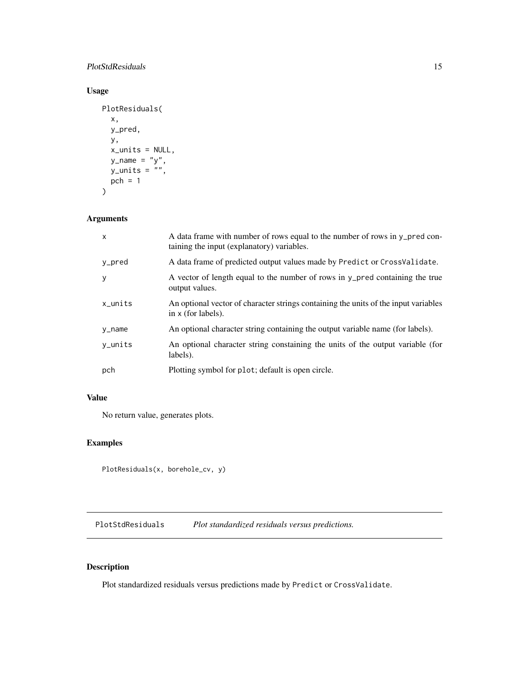# <span id="page-14-0"></span>PlotStdResiduals 15

# Usage

```
PlotResiduals(
  x,
  y_pred,
  y,
  x_units = NULL,
  y\_name = "y",y\_units = "",pch = 1\mathcal{L}
```
# Arguments

| $\mathsf{x}$ | A data frame with number of rows equal to the number of rows in y_pred con-<br>taining the input (explanatory) variables. |
|--------------|---------------------------------------------------------------------------------------------------------------------------|
| y_pred       | A data frame of predicted output values made by Predict or CrossValidate.                                                 |
| y            | A vector of length equal to the number of rows in y_pred containing the true<br>output values.                            |
| $x_$ units   | An optional vector of character strings containing the units of the input variables<br>in $x$ (for labels).               |
| y_name       | An optional character string containing the output variable name (for labels).                                            |
| y_units      | An optional character string constaining the units of the output variable (for<br>labels).                                |
| pch          | Plotting symbol for plot; default is open circle.                                                                         |

#### Value

No return value, generates plots.

# Examples

PlotResiduals(x, borehole\_cv, y)

<span id="page-14-1"></span>PlotStdResiduals *Plot standardized residuals versus predictions.*

# Description

Plot standardized residuals versus predictions made by Predict or CrossValidate.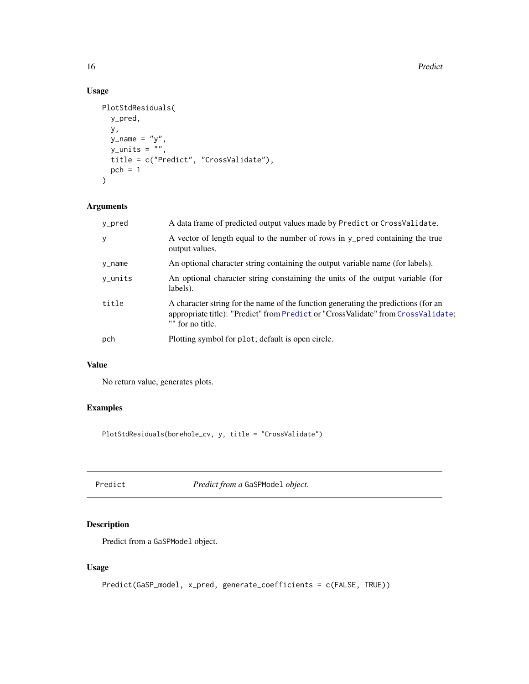<span id="page-15-0"></span>16 Predict Predict Predict Predict Predict Predict Predict Predict Predict Predict Predict Predict Predict Predict Predict Predict Predict Predict Predict Predict Predict Predict Predict Predict Predict Predict Predict Pre

# Usage

```
PlotStdResiduals(
  y_pred,
  y,
  y<sub>n</sub>ame = "y",
  y_units = \binom{m}{y},
  title = c("Predict", "CrossValidate"),
  pch = 1\mathcal{L}
```
# Arguments

| y_pred  | A data frame of predicted output values made by Predict or CrossValidate.                                                                                                                   |
|---------|---------------------------------------------------------------------------------------------------------------------------------------------------------------------------------------------|
| y       | A vector of length equal to the number of rows in y_pred containing the true<br>output values.                                                                                              |
| y_name  | An optional character string containing the output variable name (for labels).                                                                                                              |
| y_units | An optional character string constaining the units of the output variable (for<br>labels).                                                                                                  |
| title   | A character string for the name of the function generating the predictions (for an<br>appropriate title): "Predict" from Predict or "CrossValidate" from CrossValidate;<br>"" for no title. |
| pch     | Plotting symbol for plot; default is open circle.                                                                                                                                           |

#### Value

No return value, generates plots.

# Examples

PlotStdResiduals(borehole\_cv, y, title = "CrossValidate")

<span id="page-15-1"></span>Predict *Predict from a* GaSPModel *object.*

# Description

Predict from a GaSPModel object.

# Usage

```
Predict(GaSP_model, x_pred, generate_coefficients = c(FALSE, TRUE))
```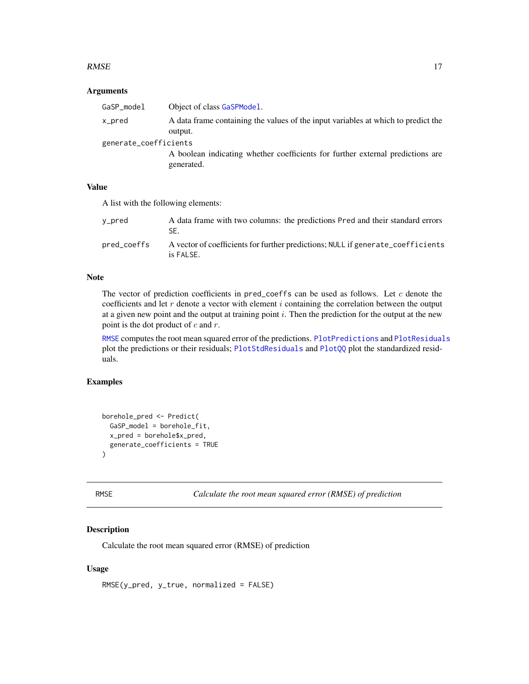#### <span id="page-16-0"></span> $RMSE$  17

#### Arguments

| GaSP_model            | Object of class GaSPModel.                                                                   |
|-----------------------|----------------------------------------------------------------------------------------------|
| x_pred                | A data frame containing the values of the input variables at which to predict the<br>output. |
| generate_coefficients |                                                                                              |
|                       | A boolean indicating whether coefficients for further external predictions are<br>generated. |

#### Value

A list with the following elements:

| y_pred      | A data frame with two columns: the predictions Pred and their standard errors<br>SE.         |
|-------------|----------------------------------------------------------------------------------------------|
| pred_coeffs | A vector of coefficients for further predictions; NULL if generate_coefficients<br>is FALSE. |

#### Note

The vector of prediction coefficients in pred\_coeffs can be used as follows. Let  $c$  denote the coefficients and let  $r$  denote a vector with element  $i$  containing the correlation between the output at a given new point and the output at training point  $i$ . Then the prediction for the output at the new point is the dot product of  $c$  and  $r$ .

[RMSE](#page-16-1) computes the root mean squared error of the predictions. [PlotPredictions](#page-12-1) and [PlotResiduals](#page-13-1) plot the predictions or their residuals; [PlotStdResiduals](#page-14-1) and [PlotQQ](#page-13-2) plot the standardized residuals.

# Examples

```
borehole_pred <- Predict(
  GaSP_model = borehole_fit,
  x_pred = borehole$x_pred,
  generate_coefficients = TRUE
\mathcal{L}
```
<span id="page-16-1"></span>

```
RMSE Calculate the root mean squared error (RMSE) of prediction
```
# Description

Calculate the root mean squared error (RMSE) of prediction

#### Usage

RMSE(y\_pred, y\_true, normalized = FALSE)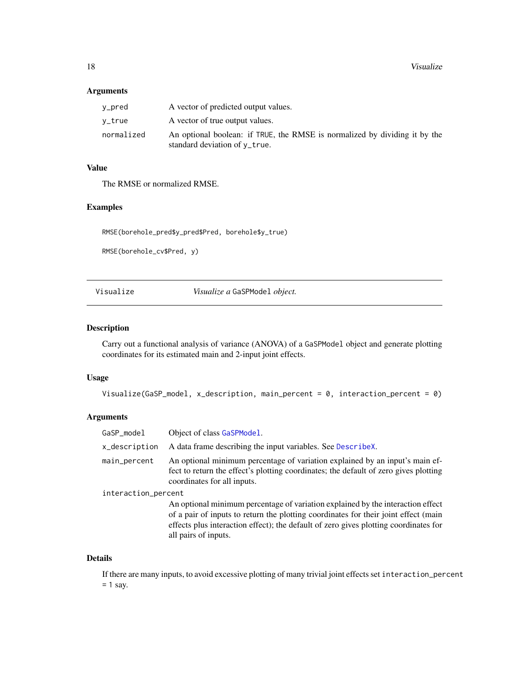#### <span id="page-17-0"></span>Arguments

| y_pred     | A vector of predicted output values.                                                                        |
|------------|-------------------------------------------------------------------------------------------------------------|
| v_true     | A vector of true output values.                                                                             |
| normalized | An optional boolean: if TRUE, the RMSE is normalized by dividing it by the<br>standard deviation of y_true. |

# Value

The RMSE or normalized RMSE.

#### Examples

RMSE(borehole\_pred\$y\_pred\$Pred, borehole\$y\_true)

RMSE(borehole\_cv\$Pred, y)

<span id="page-17-1"></span>Visualize *Visualize a* GaSPModel *object.*

#### Description

Carry out a functional analysis of variance (ANOVA) of a GaSPModel object and generate plotting coordinates for its estimated main and 2-input joint effects.

#### Usage

```
Visualize(GaSP_model, x_description, main_percent = 0, interaction_percent = 0)
```
#### Arguments

| GaSP_model          | Object of class GaSPModel.                                                                                                                                                                                                                                                             |
|---------------------|----------------------------------------------------------------------------------------------------------------------------------------------------------------------------------------------------------------------------------------------------------------------------------------|
| x_description       | A data frame describing the input variables. See DescribeX.                                                                                                                                                                                                                            |
| main_percent        | An optional minimum percentage of variation explained by an input's main ef-<br>fect to return the effect's plotting coordinates; the default of zero gives plotting<br>coordinates for all inputs.                                                                                    |
| interaction_percent |                                                                                                                                                                                                                                                                                        |
|                     | An optional minimum percentage of variation explained by the interaction effect<br>of a pair of inputs to return the plotting coordinates for their joint effect (main<br>effects plus interaction effect); the default of zero gives plotting coordinates for<br>all pairs of inputs. |

#### Details

If there are many inputs, to avoid excessive plotting of many trivial joint effects set interaction\_percent  $= 1$  say.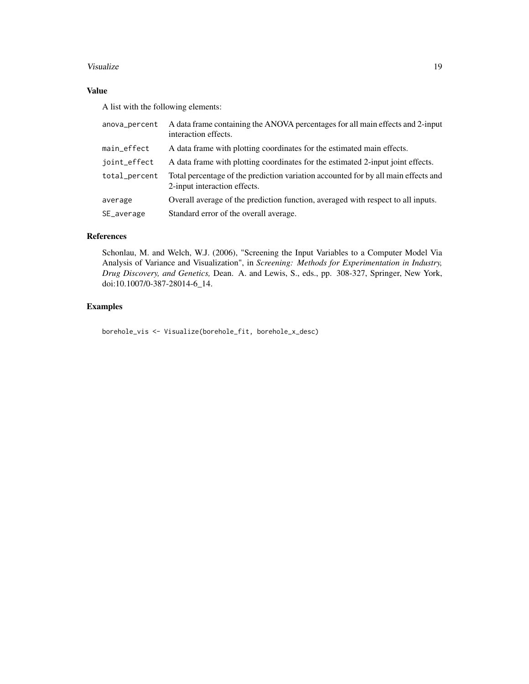#### Visualize 2008 and 2008 and 2008 and 2008 and 2008 and 2008 and 2008 and 2008 and 2008 and 2008 and 2008 and 2008 and 2008 and 2008 and 2008 and 2008 and 2008 and 2008 and 2008 and 2008 and 2008 and 2008 and 2008 and 2008

# Value

A list with the following elements:

| anova_percent | A data frame containing the ANOVA percentages for all main effects and 2-input<br>interaction effects.             |
|---------------|--------------------------------------------------------------------------------------------------------------------|
| main_effect   | A data frame with plotting coordinates for the estimated main effects.                                             |
| joint_effect  | A data frame with plotting coordinates for the estimated 2-input joint effects.                                    |
| total_percent | Total percentage of the prediction variation accounted for by all main effects and<br>2-input interaction effects. |
| average       | Overall average of the prediction function, averaged with respect to all inputs.                                   |
| SE_average    | Standard error of the overall average.                                                                             |

#### References

Schonlau, M. and Welch, W.J. (2006), "Screening the Input Variables to a Computer Model Via Analysis of Variance and Visualization", in *Screening: Methods for Experimentation in Industry, Drug Discovery, and Genetics,* Dean. A. and Lewis, S., eds., pp. 308-327, Springer, New York, doi:10.1007/0-387-28014-6\_14.

# Examples

borehole\_vis <- Visualize(borehole\_fit, borehole\_x\_desc)